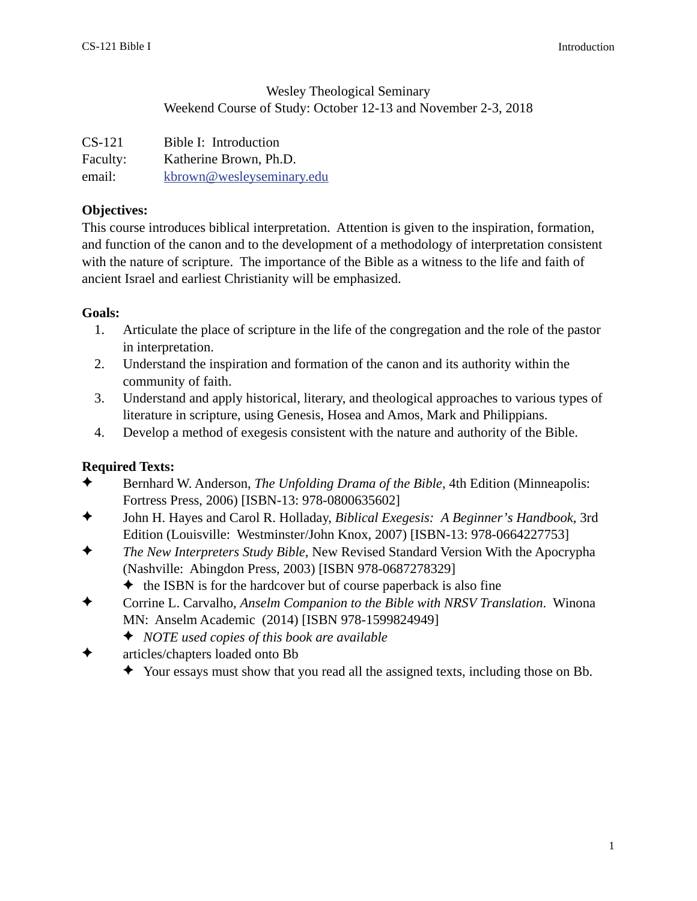#### Wesley Theological Seminary Weekend Course of Study: October 12-13 and November 2-3, 2018

| $CS-121$ | Bible I: Introduction     |
|----------|---------------------------|
| Faculty: | Katherine Brown, Ph.D.    |
| email:   | kbrown@wesleyseminary.edu |

#### **Objectives:**

This course introduces biblical interpretation. Attention is given to the inspiration, formation, and function of the canon and to the development of a methodology of interpretation consistent with the nature of scripture. The importance of the Bible as a witness to the life and faith of ancient Israel and earliest Christianity will be emphasized.

#### **Goals:**

- 1. Articulate the place of scripture in the life of the congregation and the role of the pastor in interpretation.
- 2. Understand the inspiration and formation of the canon and its authority within the community of faith.
- 3. Understand and apply historical, literary, and theological approaches to various types of literature in scripture, using Genesis, Hosea and Amos, Mark and Philippians.
- 4. Develop a method of exegesis consistent with the nature and authority of the Bible.

## **Required Texts:**

- Bernhard W. Anderson, *The Unfolding Drama of the Bible,* 4th Edition (Minneapolis: Fortress Press, 2006) [ISBN-13: 978-0800635602]
- John H. Hayes and Carol R. Holladay, *Biblical Exegesis: A Beginner's Handbook*, 3rd Edition (Louisville: Westminster/John Knox, 2007) [ISBN-13: 978-0664227753]
- *The New Interpreters Study Bible*, New Revised Standard Version With the Apocrypha (Nashville: Abingdon Press, 2003) [ISBN 978-0687278329]
	- $\triangle$  the ISBN is for the hardcover but of course paperback is also fine
- Corrine L. Carvalho, *Anselm Companion to the Bible with NRSV Translation*. Winona MN: Anselm Academic (2014) [ISBN 978-1599824949]
	- *NOTE used copies of this book are available*
- articles/chapters loaded onto Bb
	- Your essays must show that you read all the assigned texts, including those on Bb.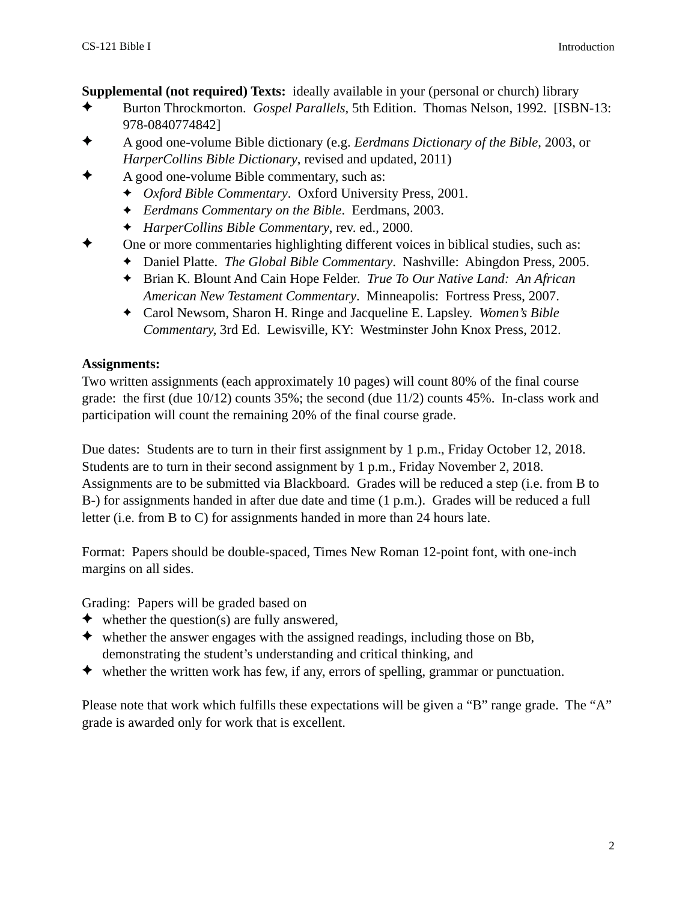**Supplemental (not required) Texts:** ideally available in your (personal or church) library

- Burton Throckmorton. *Gospel Parallels*, 5th Edition. Thomas Nelson, 1992. [ISBN-13: 978-0840774842]
- A good one-volume Bible dictionary (e.g. *Eerdmans Dictionary of the Bible*, 2003, or *HarperCollins Bible Dictionary*, revised and updated, 2011)
- A good one-volume Bible commentary, such as:
	- *Oxford Bible Commentary*. Oxford University Press, 2001.
	- *Eerdmans Commentary on the Bible*. Eerdmans, 2003.
	- *HarperCollins Bible Commentary*, rev. ed., 2000.
- One or more commentaries highlighting different voices in biblical studies, such as:
	- Daniel Platte. *The Global Bible Commentary*. Nashville: Abingdon Press, 2005.
	- Brian K. Blount And Cain Hope Felder. *True To Our Native Land: An African American New Testament Commentary*. Minneapolis: Fortress Press, 2007.
	- Carol Newsom, Sharon H. Ringe and Jacqueline E. Lapsley. *Women's Bible Commentary,* 3rd Ed. Lewisville, KY: Westminster John Knox Press, 2012.

## **Assignments:**

Two written assignments (each approximately 10 pages) will count 80% of the final course grade: the first (due 10/12) counts 35%; the second (due 11/2) counts 45%. In-class work and participation will count the remaining 20% of the final course grade.

Due dates: Students are to turn in their first assignment by 1 p.m., Friday October 12, 2018. Students are to turn in their second assignment by 1 p.m., Friday November 2, 2018. Assignments are to be submitted via Blackboard. Grades will be reduced a step (i.e. from B to B-) for assignments handed in after due date and time (1 p.m.). Grades will be reduced a full letter (i.e. from B to C) for assignments handed in more than 24 hours late.

Format: Papers should be double-spaced, Times New Roman 12-point font, with one-inch margins on all sides.

Grading: Papers will be graded based on

- $\blacklozenge$  whether the question(s) are fully answered,
- $\blacklozenge$  whether the answer engages with the assigned readings, including those on Bb, demonstrating the student's understanding and critical thinking, and
- $\blacklozenge$  whether the written work has few, if any, errors of spelling, grammar or punctuation.

Please note that work which fulfills these expectations will be given a "B" range grade. The "A" grade is awarded only for work that is excellent.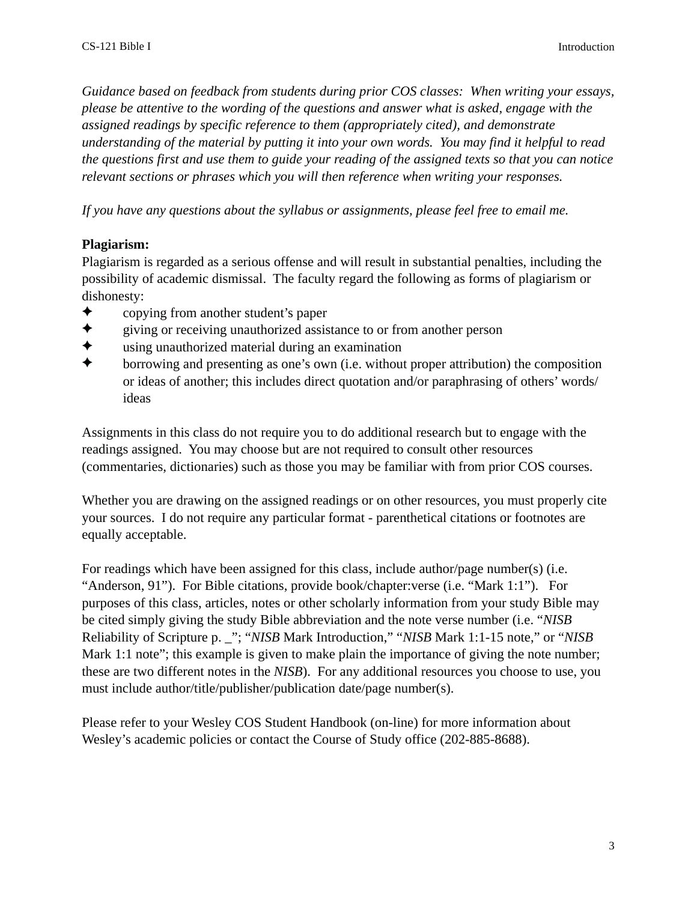*Guidance based on feedback from students during prior COS classes: When writing your essays, please be attentive to the wording of the questions and answer what is asked, engage with the assigned readings by specific reference to them (appropriately cited), and demonstrate understanding of the material by putting it into your own words. You may find it helpful to read the questions first and use them to guide your reading of the assigned texts so that you can notice relevant sections or phrases which you will then reference when writing your responses.* 

*If you have any questions about the syllabus or assignments, please feel free to email me.* 

#### **Plagiarism:**

Plagiarism is regarded as a serious offense and will result in substantial penalties, including the possibility of academic dismissal. The faculty regard the following as forms of plagiarism or dishonesty:

- ◆ copying from another student's paper
- $\triangleleft$  giving or receiving unauthorized assistance to or from another person
- using unauthorized material during an examination
- $\triangle$  borrowing and presenting as one's own (i.e. without proper attribution) the composition or ideas of another; this includes direct quotation and/or paraphrasing of others' words/ ideas

Assignments in this class do not require you to do additional research but to engage with the readings assigned. You may choose but are not required to consult other resources (commentaries, dictionaries) such as those you may be familiar with from prior COS courses.

Whether you are drawing on the assigned readings or on other resources, you must properly cite your sources. I do not require any particular format - parenthetical citations or footnotes are equally acceptable.

For readings which have been assigned for this class, include author/page number(s) (i.e. "Anderson, 91"). For Bible citations, provide book/chapter:verse (i.e. "Mark 1:1"). For purposes of this class, articles, notes or other scholarly information from your study Bible may be cited simply giving the study Bible abbreviation and the note verse number (i.e. "*NISB*  Reliability of Scripture p. \_"; "*NISB* Mark Introduction," "*NISB* Mark 1:1-15 note," or "*NISB* Mark 1:1 note"; this example is given to make plain the importance of giving the note number; these are two different notes in the *NISB*). For any additional resources you choose to use, you must include author/title/publisher/publication date/page number(s).

Please refer to your Wesley COS Student Handbook (on-line) for more information about Wesley's academic policies or contact the Course of Study office (202-885-8688).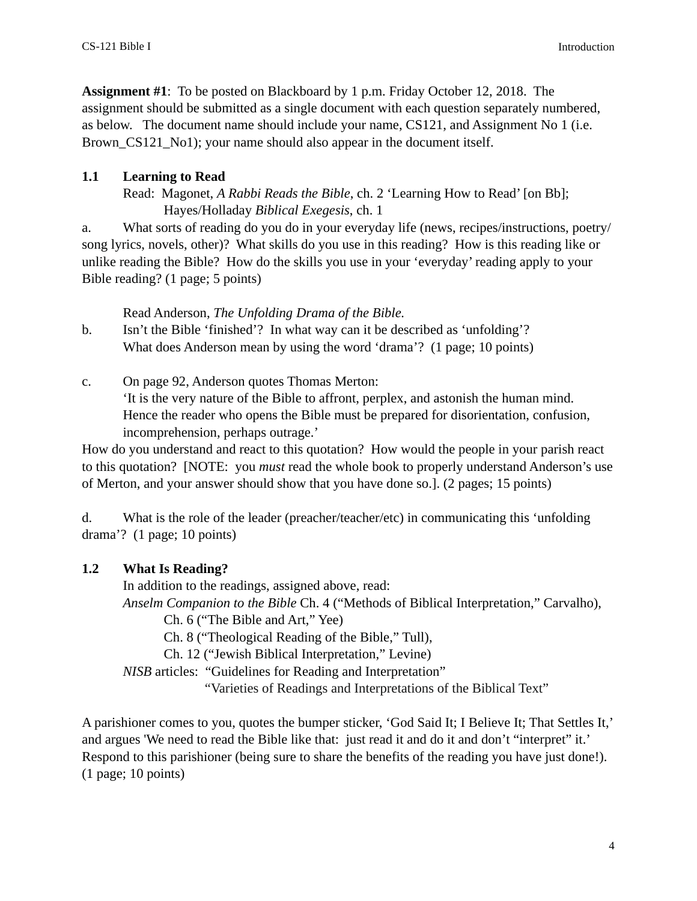**Assignment #1**: To be posted on Blackboard by 1 p.m. Friday October 12, 2018. The assignment should be submitted as a single document with each question separately numbered, as below. The document name should include your name, CS121, and Assignment No 1 (i.e. Brown\_CS121\_No1); your name should also appear in the document itself.

#### **1.1 Learning to Read**

 Read: Magonet, *A Rabbi Reads the Bible*, ch. 2 'Learning How to Read' [on Bb]; Hayes/Holladay *Biblical Exegesis*, ch. 1

a. What sorts of reading do you do in your everyday life (news, recipes/instructions, poetry/ song lyrics, novels, other)? What skills do you use in this reading? How is this reading like or unlike reading the Bible? How do the skills you use in your 'everyday' reading apply to your Bible reading? (1 page; 5 points)

Read Anderson, *The Unfolding Drama of the Bible.*

- b. Isn't the Bible 'finished'? In what way can it be described as 'unfolding'? What does Anderson mean by using the word 'drama'? (1 page; 10 points)
- c. On page 92, Anderson quotes Thomas Merton: 'It is the very nature of the Bible to affront, perplex, and astonish the human mind. Hence the reader who opens the Bible must be prepared for disorientation, confusion, incomprehension, perhaps outrage.'

How do you understand and react to this quotation? How would the people in your parish react to this quotation? [NOTE: you *must* read the whole book to properly understand Anderson's use of Merton, and your answer should show that you have done so.]. (2 pages; 15 points)

d. What is the role of the leader (preacher/teacher/etc) in communicating this 'unfolding drama'? (1 page; 10 points)

## **1.2 What Is Reading?**

In addition to the readings, assigned above, read:

*Anselm Companion to the Bible* Ch. 4 ("Methods of Biblical Interpretation," Carvalho),

Ch. 6 ("The Bible and Art," Yee)

Ch. 8 ("Theological Reading of the Bible," Tull),

Ch. 12 ("Jewish Biblical Interpretation," Levine)

*NISB* articles: "Guidelines for Reading and Interpretation"

"Varieties of Readings and Interpretations of the Biblical Text"

A parishioner comes to you, quotes the bumper sticker, 'God Said It; I Believe It; That Settles It,' and argues 'We need to read the Bible like that: just read it and do it and don't "interpret" it.' Respond to this parishioner (being sure to share the benefits of the reading you have just done!). (1 page; 10 points)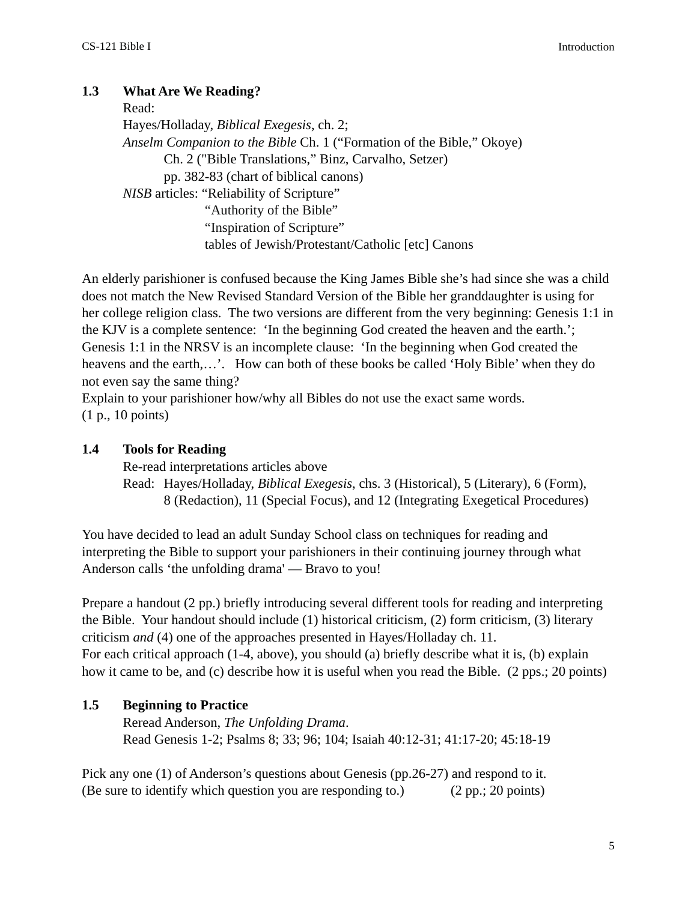## **1.3 What Are We Reading?**

 Read: Hayes/Holladay, *Biblical Exegesis*, ch. 2; *Anselm Companion to the Bible* Ch. 1 ("Formation of the Bible," Okoye) Ch. 2 ("Bible Translations," Binz, Carvalho, Setzer) pp. 382-83 (chart of biblical canons) *NISB* articles: "Reliability of Scripture" "Authority of the Bible" "Inspiration of Scripture" tables of Jewish/Protestant/Catholic [etc] Canons

An elderly parishioner is confused because the King James Bible she's had since she was a child does not match the New Revised Standard Version of the Bible her granddaughter is using for her college religion class. The two versions are different from the very beginning: Genesis 1:1 in the KJV is a complete sentence: 'In the beginning God created the heaven and the earth.'; Genesis 1:1 in the NRSV is an incomplete clause: 'In the beginning when God created the heavens and the earth,…'. How can both of these books be called 'Holy Bible' when they do not even say the same thing?

Explain to your parishioner how/why all Bibles do not use the exact same words. (1 p., 10 points)

#### **1.4 Tools for Reading**

Re-read interpretations articles above

 Read: Hayes/Holladay, *Biblical Exegesis*, chs. 3 (Historical), 5 (Literary), 6 (Form), 8 (Redaction), 11 (Special Focus), and 12 (Integrating Exegetical Procedures)

You have decided to lead an adult Sunday School class on techniques for reading and interpreting the Bible to support your parishioners in their continuing journey through what Anderson calls 'the unfolding drama' — Bravo to you!

Prepare a handout (2 pp.) briefly introducing several different tools for reading and interpreting the Bible. Your handout should include (1) historical criticism, (2) form criticism, (3) literary criticism *and* (4) one of the approaches presented in Hayes/Holladay ch. 11. For each critical approach (1-4, above), you should (a) briefly describe what it is, (b) explain how it came to be, and (c) describe how it is useful when you read the Bible. (2 pps.; 20 points)

## **1.5 Beginning to Practice**

 Reread Anderson, *The Unfolding Drama*. Read Genesis 1-2; Psalms 8; 33; 96; 104; Isaiah 40:12-31; 41:17-20; 45:18-19

Pick any one (1) of Anderson's questions about Genesis (pp.26-27) and respond to it. (Be sure to identify which question you are responding to.) (2 pp.; 20 points)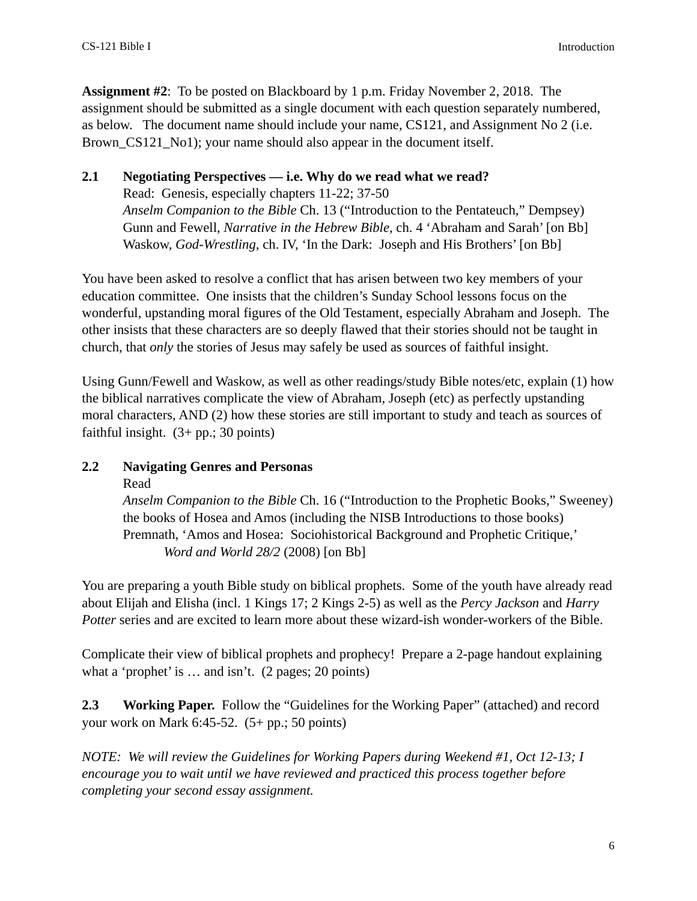**Assignment #2**: To be posted on Blackboard by 1 p.m. Friday November 2, 2018. The assignment should be submitted as a single document with each question separately numbered, as below. The document name should include your name, CS121, and Assignment No 2 (i.e. Brown\_CS121\_No1); your name should also appear in the document itself.

#### **2.1 Negotiating Perspectives — i.e. Why do we read what we read?**

 Read: Genesis, especially chapters 11-22; 37-50 *Anselm Companion to the Bible* Ch. 13 ("Introduction to the Pentateuch," Dempsey) Gunn and Fewell, *Narrative in the Hebrew Bible*, ch. 4 'Abraham and Sarah' [on Bb] Waskow, *God-Wrestling*, ch. IV, 'In the Dark: Joseph and His Brothers' [on Bb]

You have been asked to resolve a conflict that has arisen between two key members of your education committee. One insists that the children's Sunday School lessons focus on the wonderful, upstanding moral figures of the Old Testament, especially Abraham and Joseph. The other insists that these characters are so deeply flawed that their stories should not be taught in church, that *only* the stories of Jesus may safely be used as sources of faithful insight.

Using Gunn/Fewell and Waskow, as well as other readings/study Bible notes/etc, explain (1) how the biblical narratives complicate the view of Abraham, Joseph (etc) as perfectly upstanding moral characters, AND (2) how these stories are still important to study and teach as sources of faithful insight.  $(3+pp)$ ; 30 points)

## **2.2 Navigating Genres and Personas**

Read

*Anselm Companion to the Bible* Ch. 16 ("Introduction to the Prophetic Books," Sweeney) the books of Hosea and Amos (including the NISB Introductions to those books) Premnath, 'Amos and Hosea: Sociohistorical Background and Prophetic Critique,' *Word and World 28/2* (2008) [on Bb]

You are preparing a youth Bible study on biblical prophets. Some of the youth have already read about Elijah and Elisha (incl. 1 Kings 17; 2 Kings 2-5) as well as the *Percy Jackson* and *Harry Potter* series and are excited to learn more about these wizard-ish wonder-workers of the Bible.

Complicate their view of biblical prophets and prophecy! Prepare a 2-page handout explaining what a 'prophet' is … and isn't. (2 pages; 20 points)

**2.3 Working Paper.** Follow the "Guidelines for the Working Paper" (attached) and record your work on Mark 6:45-52.  $(5+pp.; 50 \text{ points})$ 

*NOTE: We will review the Guidelines for Working Papers during Weekend #1, Oct 12-13; I encourage you to wait until we have reviewed and practiced this process together before completing your second essay assignment.*